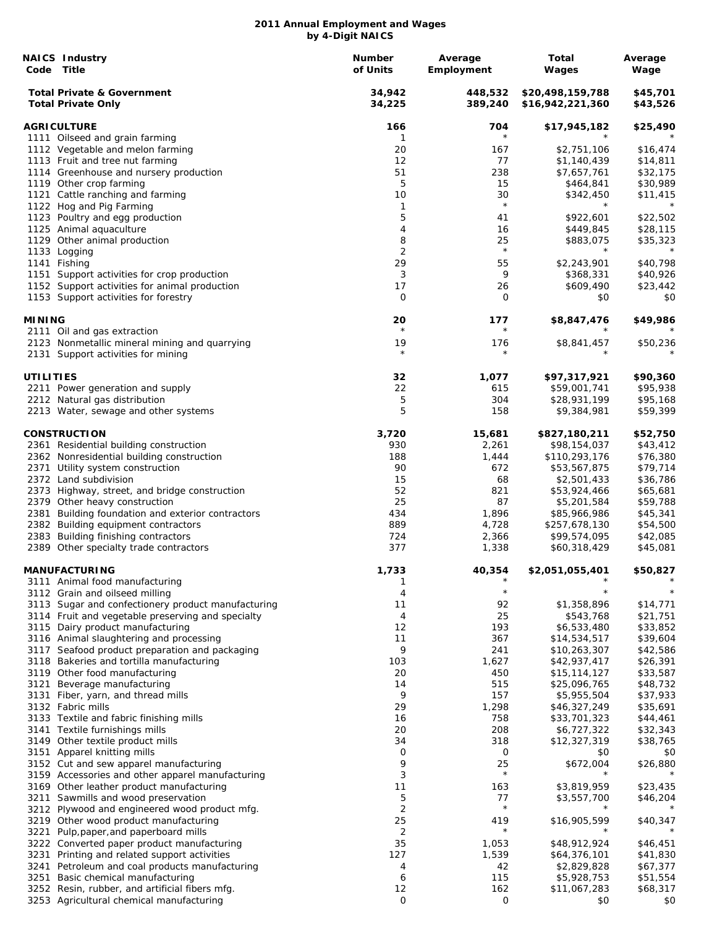|               | <b>NAICS Industry</b><br>Code Title                                                   | <b>Number</b><br>of Units | Average<br>Employment | Total<br>Wages                       | Average<br>Wage      |
|---------------|---------------------------------------------------------------------------------------|---------------------------|-----------------------|--------------------------------------|----------------------|
|               | <b>Total Private &amp; Government</b><br><b>Total Private Only</b>                    | 34,942<br>34,225          | 448,532<br>389,240    | \$20,498,159,788<br>\$16,942,221,360 | \$45,701<br>\$43,526 |
|               | <b>AGRICULTURE</b>                                                                    | 166                       | 704                   | \$17,945,182                         | \$25,490             |
|               | 1111 Oilseed and grain farming                                                        | 1                         | $\star$               |                                      |                      |
|               | 1112 Vegetable and melon farming                                                      | 20                        | 167                   | \$2,751,106                          | \$16,474             |
|               | 1113 Fruit and tree nut farming                                                       | 12                        | 77                    | \$1,140,439                          | \$14,811             |
|               | 1114 Greenhouse and nursery production                                                | 51                        | 238                   | \$7,657,761                          | \$32,175             |
|               | 1119 Other crop farming                                                               | 5                         | 15                    | \$464,841                            | \$30,989             |
|               | 1121 Cattle ranching and farming                                                      | 10                        | 30                    | \$342,450                            | \$11,415             |
|               | 1122 Hog and Pig Farming                                                              | 1                         | $\star$               | $^\star$                             | $\star$              |
|               | 1123 Poultry and egg production                                                       | 5                         | 41                    | \$922,601                            | \$22,502             |
|               | 1125 Animal aquaculture                                                               | 4                         | 16                    | \$449,845                            | \$28,115             |
|               | 1129 Other animal production                                                          | 8                         | 25<br>$\star$         | \$883,075<br>$\star$                 | \$35,323<br>$\star$  |
|               | 1133 Logging                                                                          | $\overline{2}$<br>29      | 55                    |                                      |                      |
|               | 1141 Fishing                                                                          | 3                         | 9                     | \$2,243,901                          | \$40,798             |
|               | 1151 Support activities for crop production                                           | 17                        |                       | \$368,331                            | \$40,926             |
|               | 1152 Support activities for animal production<br>1153 Support activities for forestry | 0                         | 26<br>0               | \$609,490<br>\$0                     | \$23,442<br>\$0      |
|               |                                                                                       |                           |                       |                                      |                      |
| <b>MINING</b> | 2111 Oil and gas extraction                                                           | 20<br>$\star$             | 177<br>$\star$        | \$8,847,476                          | \$49,986             |
|               | 2123 Nonmetallic mineral mining and quarrying                                         | 19                        | 176                   | \$8,841,457                          | \$50,236             |
|               | 2131 Support activities for mining                                                    | $\star$                   | $^\star$              |                                      |                      |
| UTILITIES     |                                                                                       | 32                        | 1,077                 | \$97,317,921                         | \$90,360             |
|               | 2211 Power generation and supply                                                      | 22                        | 615                   | \$59,001,741                         | \$95,938             |
|               | 2212 Natural gas distribution                                                         | 5                         | 304                   | \$28,931,199                         | \$95,168             |
|               | 2213 Water, sewage and other systems                                                  | 5                         | 158                   | \$9,384,981                          | \$59,399             |
|               | <b>CONSTRUCTION</b>                                                                   | 3,720                     | 15,681                |                                      | \$52,750             |
|               | 2361 Residential building construction                                                | 930                       | 2,261                 | \$827,180,211<br>\$98,154,037        | \$43,412             |
|               | 2362 Nonresidential building construction                                             | 188                       | 1,444                 | \$110,293,176                        | \$76,380             |
|               | 2371 Utility system construction                                                      | 90                        | 672                   | \$53,567,875                         | \$79,714             |
|               | 2372 Land subdivision                                                                 | 15                        | 68                    | \$2,501,433                          | \$36,786             |
|               | 2373 Highway, street, and bridge construction                                         | 52                        | 821                   | \$53,924,466                         | \$65,681             |
|               | 2379 Other heavy construction                                                         | 25                        | 87                    | \$5,201,584                          | \$59,788             |
|               | 2381 Building foundation and exterior contractors                                     | 434                       | 1,896                 | \$85,966,986                         | \$45,341             |
|               | 2382 Building equipment contractors                                                   | 889                       | 4,728                 | \$257,678,130                        | \$54,500             |
|               | 2383 Building finishing contractors                                                   | 724                       | 2,366                 | \$99,574,095                         | \$42,085             |
|               | 2389 Other specialty trade contractors                                                | 377                       | 1,338                 | \$60,318,429                         | \$45,081             |
|               | <b>MANUFACTURING</b>                                                                  | 1,733                     | 40,354                | \$2,051,055,401                      | \$50,827             |
|               | 3111 Animal food manufacturing                                                        | 1                         | $^{\star}$            | $^\star$                             | $^\star$             |
|               | 3112 Grain and oilseed milling                                                        | 4                         | $^\star$              |                                      |                      |
|               | 3113 Sugar and confectionery product manufacturing                                    | 11                        | 92                    | \$1,358,896                          | \$14,771             |
|               | 3114 Fruit and vegetable preserving and specialty                                     | 4                         | 25                    | \$543,768                            | \$21,751             |
|               | 3115 Dairy product manufacturing                                                      | 12                        | 193                   | \$6,533,480                          | \$33,852             |
|               | 3116 Animal slaughtering and processing                                               | 11                        | 367                   | \$14,534,517                         | \$39,604             |
|               | 3117 Seafood product preparation and packaging                                        | 9                         | 241                   | \$10,263,307                         | \$42,586             |
|               | 3118 Bakeries and tortilla manufacturing                                              | 103                       | 1,627                 | \$42,937,417                         | \$26,391             |
|               | 3119 Other food manufacturing                                                         | 20                        | 450                   | \$15,114,127                         | \$33,587             |
| 3121          | Beverage manufacturing                                                                | 14                        | 515                   | \$25,096,765                         | \$48,732             |
| 3131          | Fiber, yarn, and thread mills                                                         | 9                         | 157                   | \$5,955,504                          | \$37,933             |
|               | 3132 Fabric mills                                                                     | 29                        | 1,298                 | \$46,327,249                         | \$35,691             |
|               | 3133 Textile and fabric finishing mills                                               | 16                        | 758                   | \$33,701,323                         | \$44,461             |
|               | 3141 Textile furnishings mills                                                        | 20                        | 208                   | \$6,727,322                          | \$32,343             |
|               | 3149 Other textile product mills                                                      | 34                        | 318                   | \$12,327,319                         | \$38,765             |
|               | 3151 Apparel knitting mills                                                           | 0                         | 0                     | \$0                                  | \$0                  |
|               | 3152 Cut and sew apparel manufacturing                                                | 9                         | 25                    | \$672,004                            | \$26,880             |
|               | 3159 Accessories and other apparel manufacturing                                      | 3                         | $\star$               |                                      |                      |
|               | 3169 Other leather product manufacturing                                              | 11                        | 163                   | \$3,819,959                          | \$23,435             |
|               | 3211 Sawmills and wood preservation                                                   | 5                         | 77                    | \$3,557,700                          | \$46,204             |
|               | 3212 Plywood and engineered wood product mfg.                                         | $\overline{2}$            | $\star$               |                                      |                      |
|               | 3219 Other wood product manufacturing                                                 | 25                        | 419<br>$\star$        | \$16,905,599                         | \$40,347             |
| 3221          | Pulp, paper, and paperboard mills                                                     | 2                         |                       |                                      |                      |
|               | 3222 Converted paper product manufacturing                                            | 35                        | 1,053                 | \$48,912,924                         | \$46,451             |
| 3231          | Printing and related support activities                                               | 127                       | 1,539                 | \$64,376,101                         | \$41,830             |
|               | 3241 Petroleum and coal products manufacturing                                        | 4                         | 42                    | \$2,829,828                          | \$67,377             |
|               | 3251 Basic chemical manufacturing                                                     | 6                         | 115                   | \$5,928,753                          | \$51,554             |
|               | 3252 Resin, rubber, and artificial fibers mfg.                                        | 12                        | 162                   | \$11,067,283                         | \$68,317             |
|               | 3253 Agricultural chemical manufacturing                                              | 0                         | 0                     | \$0                                  | \$0                  |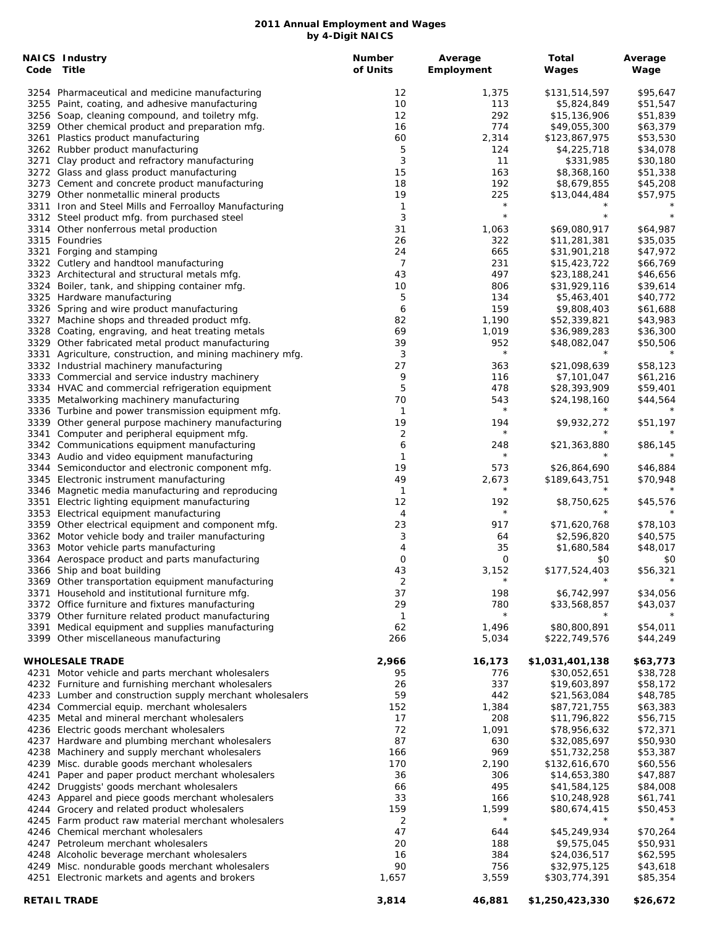|            | <b>NAICS Industry</b>                                                                      | <b>Number</b> | Average             | Total                       | Average              |
|------------|--------------------------------------------------------------------------------------------|---------------|---------------------|-----------------------------|----------------------|
| Code Title |                                                                                            | of Units      | Employment          | Wages                       | Wage                 |
|            | 3254 Pharmaceutical and medicine manufacturing                                             | 12            | 1,375               | \$131,514,597               | \$95,647             |
|            | 3255 Paint, coating, and adhesive manufacturing                                            | 10            | 113                 | \$5,824,849                 | \$51,547             |
|            | 3256 Soap, cleaning compound, and toiletry mfg.                                            | 12            | 292                 | \$15,136,906                | \$51,839             |
|            | 3259 Other chemical product and preparation mfg.                                           | 16            | 774                 | \$49,055,300                | \$63,379             |
|            | 3261 Plastics product manufacturing                                                        | 60            | 2,314               | \$123,867,975               | \$53,530             |
|            | 3262 Rubber product manufacturing                                                          | 5             | 124                 | \$4,225,718                 | \$34,078             |
|            | 3271 Clay product and refractory manufacturing                                             | 3             | 11                  | \$331,985                   | \$30,180             |
|            | 3272 Glass and glass product manufacturing                                                 | 15            | 163                 | \$8,368,160                 | \$51,338             |
|            | 3273 Cement and concrete product manufacturing                                             | 18            | 192                 | \$8,679,855                 | \$45,208             |
|            | 3279 Other nonmetallic mineral products                                                    | 19            | 225                 | \$13,044,484                | \$57,975             |
|            | 3311 Iron and Steel Mills and Ferroalloy Manufacturing                                     | 1             | $\star$             |                             |                      |
|            | 3312 Steel product mfg. from purchased steel                                               | 3             | $\star$             | $\star$                     | $\star$              |
|            | 3314 Other nonferrous metal production                                                     | 31            | 1,063               | \$69,080,917                | \$64,987             |
|            | 3315 Foundries                                                                             | 26            | 322                 | \$11,281,381                | \$35,035             |
|            | 3321 Forging and stamping                                                                  | 24            | 665                 | \$31,901,218                | \$47,972             |
|            | 3322 Cutlery and handtool manufacturing                                                    | 7             | 231                 | \$15,423,722                | \$66,769             |
|            | 3323 Architectural and structural metals mfg.                                              | 43            | 497                 | \$23,188,241                | \$46,656             |
|            | 3324 Boiler, tank, and shipping container mfg.                                             | 10            | 806                 | \$31,929,116                | \$39,614             |
|            | 3325 Hardware manufacturing                                                                | 5             | 134<br>159          | \$5,463,401                 | \$40,772             |
|            | 3326 Spring and wire product manufacturing<br>3327 Machine shops and threaded product mfg. | 6<br>82       | 1,190               | \$9,808,403<br>\$52,339,821 | \$61,688<br>\$43,983 |
|            | 3328 Coating, engraving, and heat treating metals                                          | 69            | 1,019               | \$36,989,283                | \$36,300             |
|            | 3329 Other fabricated metal product manufacturing                                          | 39            | 952                 | \$48,082,047                | \$50,506             |
|            | 3331 Agriculture, construction, and mining machinery mfg.                                  | 3             | $\star$             | $^\star$                    |                      |
|            | 3332 Industrial machinery manufacturing                                                    | 27            | 363                 | \$21,098,639                | \$58,123             |
|            | 3333 Commercial and service industry machinery                                             | 9             | 116                 | \$7,101,047                 | \$61,216             |
|            | 3334 HVAC and commercial refrigeration equipment                                           | 5             | 478                 | \$28,393,909                | \$59,401             |
|            | 3335 Metalworking machinery manufacturing                                                  | 70            | 543                 | \$24,198,160                | \$44,564             |
|            | 3336 Turbine and power transmission equipment mfg.                                         | 1             | $\star$             |                             |                      |
|            | 3339 Other general purpose machinery manufacturing                                         | 19            | 194                 | \$9,932,272                 | \$51,197             |
|            | 3341 Computer and peripheral equipment mfg.                                                | 2             | $\star$             | $\star$                     |                      |
|            | 3342 Communications equipment manufacturing                                                | 6             | 248                 | \$21,363,880                | \$86,145             |
|            | 3343 Audio and video equipment manufacturing                                               | 1             | $\star$             |                             |                      |
|            | 3344 Semiconductor and electronic component mfg.                                           | 19            | 573                 | \$26,864,690                | \$46,884             |
|            | 3345 Electronic instrument manufacturing                                                   | 49            | 2,673               | \$189,643,751               | \$70,948             |
|            | 3346 Magnetic media manufacturing and reproducing                                          | $\mathbf{1}$  | $^{\star}$          |                             |                      |
|            | 3351 Electric lighting equipment manufacturing                                             | 12            | 192                 | \$8,750,625                 | \$45,576             |
|            | 3353 Electrical equipment manufacturing                                                    | 4             | $\star$             |                             |                      |
|            | 3359 Other electrical equipment and component mfg.                                         | 23            | 917                 | \$71,620,768                | \$78,103             |
|            | 3362 Motor vehicle body and trailer manufacturing                                          | 3             | 64                  | \$2,596,820                 | \$40,575             |
|            | 3363 Motor vehicle parts manufacturing                                                     | 4             | 35                  | \$1,680,584                 | \$48,017             |
|            | 3364 Aerospace product and parts manufacturing                                             | 0             | 0                   | \$0                         | \$0                  |
|            | 3366 Ship and boat building                                                                | 43            | 3,152               | \$177,524,403               | \$56,321             |
|            | 3369 Other transportation equipment manufacturing                                          | 2             | $^{\star}$          | $^\star$                    |                      |
|            | 3371 Household and institutional furniture mfg.                                            | 37            | 198                 | \$6,742,997                 | \$34,056             |
|            | 3372 Office furniture and fixtures manufacturing                                           | 29            | 780                 | \$33,568,857                | \$43,037             |
|            | 3379 Other furniture related product manufacturing                                         | 1             | $\star$             | $\star$                     |                      |
|            | 3391 Medical equipment and supplies manufacturing                                          | 62            | 1,496               | \$80,800,891                | \$54,011             |
|            | 3399 Other miscellaneous manufacturing                                                     | 266           | 5,034               | \$222,749,576               | \$44,249             |
|            | <b>WHOLESALE TRADE</b>                                                                     | 2,966         | 16,173              | \$1,031,401,138             | \$63,773             |
|            | 4231 Motor vehicle and parts merchant wholesalers                                          | 95            | 776                 | \$30,052,651                | \$38,728             |
|            | 4232 Furniture and furnishing merchant wholesalers                                         | 26            | 337                 | \$19,603,897                | \$58,172             |
|            | 4233 Lumber and construction supply merchant wholesalers                                   | 59            | 442                 | \$21,563,084                | \$48,785             |
|            | 4234 Commercial equip. merchant wholesalers                                                | 152           | 1,384               | \$87,721,755                | \$63,383             |
|            | 4235 Metal and mineral merchant wholesalers                                                | 17            | 208                 | \$11,796,822                | \$56,715             |
|            | 4236 Electric goods merchant wholesalers                                                   | 72            | 1,091               | \$78,956,632                | \$72,371             |
|            | 4237 Hardware and plumbing merchant wholesalers                                            | 87            | 630                 | \$32,085,697                | \$50,930             |
|            | 4238 Machinery and supply merchant wholesalers                                             | 166           | 969                 | \$51,732,258                | \$53,387             |
|            | 4239 Misc. durable goods merchant wholesalers                                              | 170           | 2,190               | \$132,616,670               | \$60,556             |
|            | 4241 Paper and paper product merchant wholesalers                                          | 36            | 306                 | \$14,653,380                | \$47,887             |
|            | 4242 Druggists' goods merchant wholesalers                                                 | 66            | 495                 | \$41,584,125                | \$84,008             |
|            | 4243 Apparel and piece goods merchant wholesalers                                          | 33            | 166                 | \$10,248,928                | \$61,741             |
|            | 4244 Grocery and related product wholesalers                                               | 159           | 1,599<br>$^{\star}$ | \$80,674,415<br>$^\star$    | \$50,453             |
|            | 4245 Farm product raw material merchant wholesalers                                        | 2<br>47       | 644                 | \$45,249,934                | \$70,264             |
|            | 4246 Chemical merchant wholesalers<br>4247 Petroleum merchant wholesalers                  | 20            | 188                 | \$9,575,045                 | \$50,931             |
|            | 4248 Alcoholic beverage merchant wholesalers                                               | 16            | 384                 | \$24,036,517                | \$62,595             |
|            | 4249 Misc. nondurable goods merchant wholesalers                                           | 90            | 756                 | \$32,975,125                | \$43,618             |
|            | 4251 Electronic markets and agents and brokers                                             | 1,657         | 3,559               | \$303,774,391               | \$85,354             |
|            |                                                                                            |               |                     |                             |                      |
|            | <b>RETAIL TRADE</b>                                                                        | 3,814         | 46,881              | \$1,250,423,330             | \$26,672             |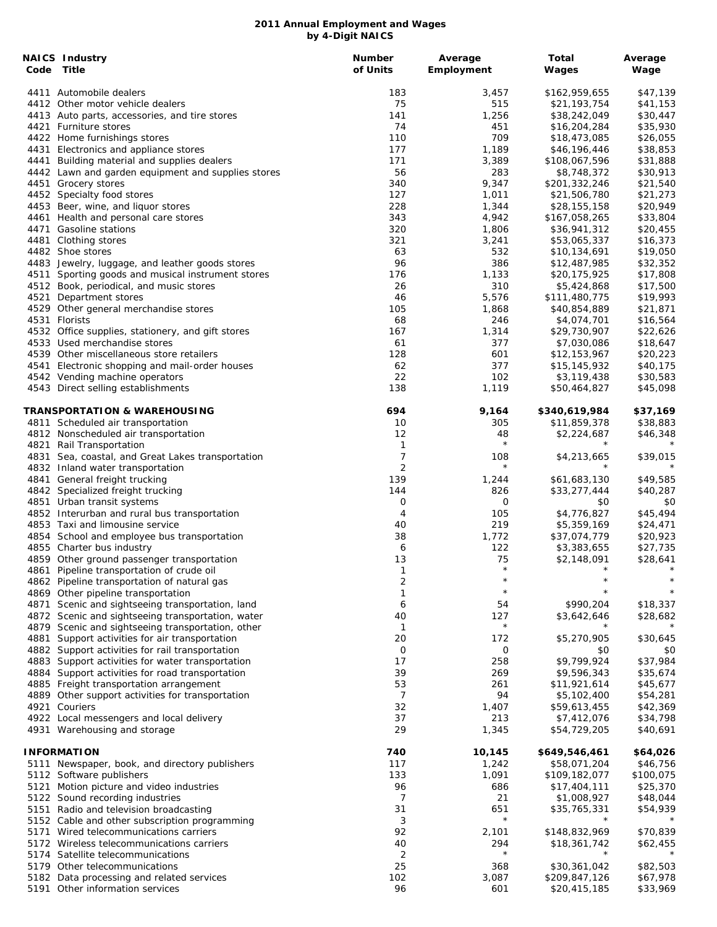|      | <b>NAICS Industry</b><br>Code Title                                                                 | <b>Number</b><br>of Units | Average<br>Employment | Total<br>Wages                | Average<br>Wage      |
|------|-----------------------------------------------------------------------------------------------------|---------------------------|-----------------------|-------------------------------|----------------------|
|      | 4411 Automobile dealers                                                                             | 183                       | 3,457                 | \$162,959,655                 | \$47,139             |
|      | 4412 Other motor vehicle dealers                                                                    | 75                        | 515                   | \$21,193,754                  | \$41,153             |
|      | 4413 Auto parts, accessories, and tire stores                                                       | 141                       | 1,256                 | \$38,242,049                  | \$30,447             |
|      | 4421 Furniture stores                                                                               | 74                        | 451                   | \$16,204,284                  | \$35,930             |
|      | 4422 Home furnishings stores                                                                        | 110                       | 709                   | \$18,473,085                  | \$26,055             |
|      | 4431 Electronics and appliance stores                                                               | 177                       | 1,189                 | \$46,196,446                  | \$38,853             |
|      | 4441 Building material and supplies dealers                                                         | 171                       | 3,389                 | \$108,067,596                 | \$31,888             |
|      | 4442 Lawn and garden equipment and supplies stores<br>4451 Grocery stores                           | 56<br>340                 | 283<br>9,347          | \$8,748,372<br>\$201,332,246  | \$30,913<br>\$21,540 |
|      | 4452 Specialty food stores                                                                          | 127                       | 1,011                 | \$21,506,780                  | \$21,273             |
|      | 4453 Beer, wine, and liquor stores                                                                  | 228                       | 1,344                 | \$28,155,158                  | \$20,949             |
|      | 4461 Health and personal care stores                                                                | 343                       | 4,942                 | \$167,058,265                 | \$33,804             |
|      | 4471 Gasoline stations                                                                              | 320                       | 1,806                 | \$36,941,312                  | \$20,455             |
|      | 4481 Clothing stores                                                                                | 321                       | 3,241                 | \$53,065,337                  | \$16,373             |
|      | 4482 Shoe stores                                                                                    | 63                        | 532                   | \$10,134,691                  | \$19,050             |
|      | 4483 Jewelry, luggage, and leather goods stores                                                     | 96                        | 386                   | \$12,487,985                  | \$32,352             |
|      | 4511 Sporting goods and musical instrument stores                                                   | 176                       | 1,133                 | \$20,175,925                  | \$17,808             |
|      | 4512 Book, periodical, and music stores                                                             | 26                        | 310                   | \$5,424,868                   | \$17,500             |
| 4521 | Department stores                                                                                   | 46                        | 5,576                 | \$111,480,775                 | \$19,993             |
|      | 4529 Other general merchandise stores                                                               | 105                       | 1,868                 | \$40,854,889                  | \$21,871             |
|      | 4531 Florists                                                                                       | 68                        | 246                   | \$4,074,701                   | \$16,564             |
|      | 4532 Office supplies, stationery, and gift stores                                                   | 167                       | 1,314                 | \$29,730,907                  | \$22,626             |
|      | 4533 Used merchandise stores<br>4539 Other miscellaneous store retailers                            | 61                        | 377                   | \$7,030,086                   | \$18,647             |
|      | 4541 Electronic shopping and mail-order houses                                                      | 128<br>62                 | 601<br>377            | \$12,153,967<br>\$15,145,932  | \$20,223<br>\$40,175 |
|      | 4542 Vending machine operators                                                                      | 22                        | 102                   | \$3,119,438                   | \$30,583             |
|      | 4543 Direct selling establishments                                                                  | 138                       | 1,119                 | \$50,464,827                  | \$45,098             |
|      | TRANSPORTATION & WAREHOUSING                                                                        | 694                       | 9,164                 | \$340,619,984                 | \$37,169             |
|      | 4811 Scheduled air transportation                                                                   | 10                        | 305                   | \$11,859,378                  | \$38,883             |
|      | 4812 Nonscheduled air transportation                                                                | 12                        | 48                    | \$2,224,687                   | \$46,348             |
|      | 4821 Rail Transportation                                                                            | 1                         | $\star$               | $\star$                       | $^\star$             |
|      | 4831 Sea, coastal, and Great Lakes transportation                                                   | 7                         | 108                   | \$4,213,665                   | \$39,015             |
|      | 4832 Inland water transportation                                                                    | $\overline{2}$            | $\star$               | $\star$                       |                      |
|      | 4841 General freight trucking                                                                       | 139                       | 1,244                 | \$61,683,130                  | \$49,585             |
|      | 4842 Specialized freight trucking                                                                   | 144                       | 826                   | \$33,277,444                  | \$40,287             |
|      | 4851 Urban transit systems<br>4852 Interurban and rural bus transportation                          | 0<br>4                    | 0<br>105              | \$0<br>\$4,776,827            | \$0<br>\$45,494      |
|      | 4853 Taxi and limousine service                                                                     | 40                        | 219                   | \$5,359,169                   | \$24,471             |
|      | 4854 School and employee bus transportation                                                         | 38                        | 1,772                 | \$37,074,779                  | \$20,923             |
|      | 4855 Charter bus industry                                                                           | 6                         | 122                   | \$3,383,655                   | \$27,735             |
|      | 4859 Other ground passenger transportation                                                          | 13                        | 75                    | \$2,148,091                   | \$28,641             |
|      | 4861 Pipeline transportation of crude oil                                                           | 1                         | $\star$               | $\star$                       | $\star$              |
|      | 4862 Pipeline transportation of natural gas                                                         | 2                         | $^\star$              |                               |                      |
|      | 4869 Other pipeline transportation                                                                  | 1                         | $\star$               |                               |                      |
|      | 4871 Scenic and sightseeing transportation, land                                                    | 6                         | 54                    | \$990,204                     | \$18,337             |
|      | 4872 Scenic and sightseeing transportation, water                                                   | 40                        | 127                   | \$3,642,646                   | \$28,682             |
|      | 4879 Scenic and sightseeing transportation, other                                                   | $\mathbf{1}$              | $\star$               | $\star$                       |                      |
| 4881 | Support activities for air transportation                                                           | 20                        | 172                   | \$5,270,905                   | \$30,645             |
|      | 4882 Support activities for rail transportation                                                     | O                         | 0                     | \$0<br>\$9,799,924            | \$0                  |
|      | 4883 Support activities for water transportation<br>4884 Support activities for road transportation | 17<br>39                  | 258<br>269            | \$9,596,343                   | \$37,984<br>\$35,674 |
|      | 4885 Freight transportation arrangement                                                             | 53                        | 261                   | \$11,921,614                  | \$45,677             |
|      | 4889 Other support activities for transportation                                                    | 7                         | 94                    | \$5,102,400                   | \$54,281             |
|      | 4921 Couriers                                                                                       | 32                        | 1,407                 | \$59,613,455                  | \$42,369             |
|      | 4922 Local messengers and local delivery                                                            | 37                        | 213                   | \$7,412,076                   | \$34,798             |
|      | 4931 Warehousing and storage                                                                        | 29                        | 1,345                 | \$54,729,205                  | \$40,691             |
|      | <b>INFORMATION</b>                                                                                  | 740                       | 10,145                | \$649,546,461                 | \$64,026             |
|      | 5111 Newspaper, book, and directory publishers                                                      | 117                       | 1,242                 | \$58,071,204                  | \$46,756             |
|      | 5112 Software publishers                                                                            | 133                       | 1,091                 | \$109,182,077                 | \$100,075            |
| 5121 | Motion picture and video industries                                                                 | 96                        | 686                   | \$17,404,111                  | \$25,370             |
|      | 5122 Sound recording industries                                                                     | 7                         | 21                    | \$1,008,927                   | \$48,044             |
| 5151 | Radio and television broadcasting                                                                   | 31                        | 651<br>$\star$        | \$35,765,331<br>$\star$       | \$54,939             |
|      | 5152 Cable and other subscription programming                                                       | 3<br>92                   |                       |                               |                      |
|      | 5171 Wired telecommunications carriers<br>5172 Wireless telecommunications carriers                 | 40                        | 2,101<br>294          | \$148,832,969<br>\$18,361,742 | \$70,839<br>\$62,455 |
|      | 5174 Satellite telecommunications                                                                   | $\overline{2}$            | $\star$               |                               |                      |
|      | 5179 Other telecommunications                                                                       | 25                        | 368                   | \$30,361,042                  | \$82,503             |
|      | 5182 Data processing and related services                                                           | 102                       | 3,087                 | \$209,847,126                 | \$67,978             |
|      | 5191 Other information services                                                                     | 96                        | 601                   | \$20,415,185                  | \$33,969             |
|      |                                                                                                     |                           |                       |                               |                      |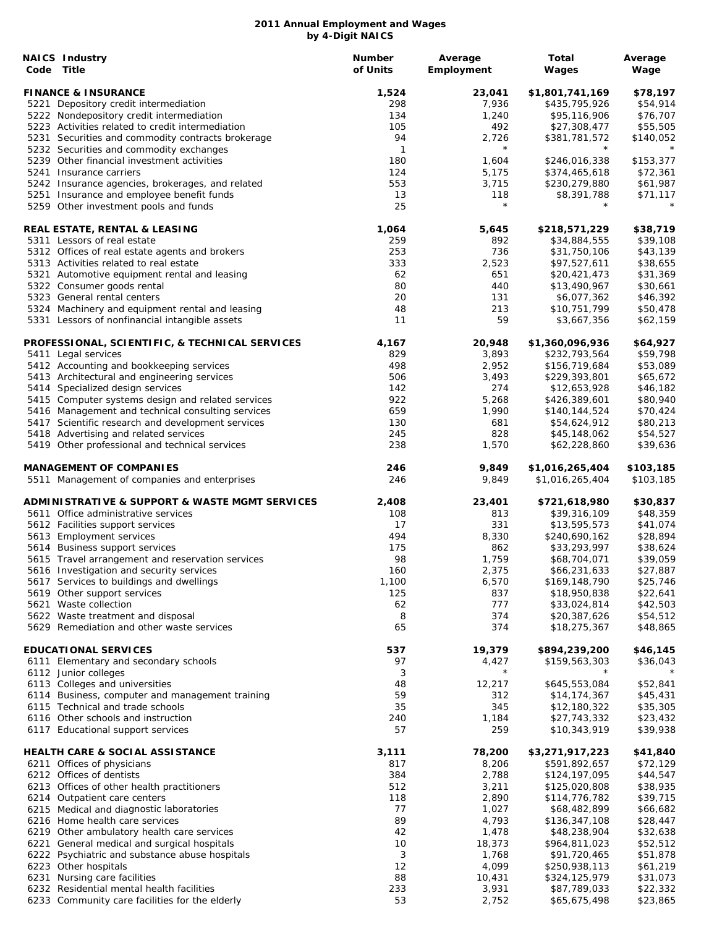| <b>NAICS Industry</b><br>Code Title                                                                    | <b>Number</b><br>of Units | Average<br>Employment | Total<br>Wages                | Average<br>Wage        |
|--------------------------------------------------------------------------------------------------------|---------------------------|-----------------------|-------------------------------|------------------------|
| <b>FINANCE &amp; INSURANCE</b>                                                                         | 1,524                     | 23,041                | \$1,801,741,169               | \$78,197               |
| 5221 Depository credit intermediation                                                                  | 298                       | 7,936                 | \$435,795,926                 | \$54,914               |
| 5222 Nondepository credit intermediation                                                               | 134                       | 1,240                 | \$95,116,906                  | \$76,707               |
| 5223 Activities related to credit intermediation                                                       | 105                       | 492                   | \$27,308,477                  | \$55,505               |
| 5231 Securities and commodity contracts brokerage                                                      | 94                        | 2,726                 | \$381,781,572                 | \$140,052              |
| 5232 Securities and commodity exchanges                                                                | $\mathbf{1}$              | $\star$               |                               |                        |
| 5239 Other financial investment activities                                                             | 180                       | 1,604                 | \$246,016,338                 | \$153,377              |
| 5241 Insurance carriers                                                                                | 124                       | 5,175                 | \$374,465,618                 | \$72,361               |
| 5242 Insurance agencies, brokerages, and related                                                       | 553<br>13                 | 3,715<br>118          | \$230,279,880<br>\$8,391,788  | \$61,987               |
| 5251 Insurance and employee benefit funds<br>5259 Other investment pools and funds                     | 25                        | $\star$               | $^\star$                      | \$71,117<br>$^{\star}$ |
| REAL ESTATE, RENTAL & LEASING                                                                          | 1,064                     | 5,645                 | \$218,571,229                 | \$38,719               |
| 5311 Lessors of real estate                                                                            | 259                       | 892                   | \$34,884,555                  | \$39,108               |
| 5312 Offices of real estate agents and brokers                                                         | 253                       | 736                   | \$31,750,106                  | \$43,139               |
| 5313 Activities related to real estate                                                                 | 333                       | 2,523                 | \$97,527,611                  | \$38,655               |
| 5321 Automotive equipment rental and leasing                                                           | 62                        | 651                   | \$20,421,473                  | \$31,369               |
| 5322 Consumer goods rental                                                                             | 80                        | 440                   | \$13,490,967                  | \$30,661               |
| 5323 General rental centers                                                                            | 20                        | 131                   | \$6,077,362                   | \$46,392               |
| 5324 Machinery and equipment rental and leasing                                                        | 48                        | 213                   | \$10,751,799                  | \$50,478               |
| 5331 Lessors of nonfinancial intangible assets                                                         | 11                        | 59                    | \$3,667,356                   | \$62,159               |
| PROFESSIONAL, SCIENTIFIC, & TECHNICAL SERVICES                                                         | 4,167                     | 20,948                | \$1,360,096,936               | \$64,927               |
| 5411 Legal services                                                                                    | 829                       | 3,893                 | \$232,793,564                 | \$59,798               |
| 5412 Accounting and bookkeeping services                                                               | 498                       | 2,952                 | \$156,719,684                 | \$53,089               |
| 5413 Architectural and engineering services                                                            | 506                       | 3,493                 | \$229,393,801                 | \$65,672               |
| 5414 Specialized design services                                                                       | 142<br>922                | 274                   | \$12,653,928                  | \$46,182               |
| 5415 Computer systems design and related services<br>5416 Management and technical consulting services | 659                       | 5,268<br>1,990        | \$426,389,601                 | \$80,940<br>\$70,424   |
| 5417 Scientific research and development services                                                      | 130                       | 681                   | \$140,144,524<br>\$54,624,912 | \$80,213               |
| 5418 Advertising and related services                                                                  | 245                       | 828                   | \$45,148,062                  | \$54,527               |
| 5419 Other professional and technical services                                                         | 238                       | 1,570                 | \$62,228,860                  | \$39,636               |
| <b>MANAGEMENT OF COMPANIES</b>                                                                         | 246                       | 9,849                 | \$1,016,265,404               | \$103,185              |
| 5511 Management of companies and enterprises                                                           | 246                       | 9,849                 | \$1,016,265,404               | \$103,185              |
| <b>ADMINISTRATIVE &amp; SUPPORT &amp; WASTE MGMT SERVICES</b>                                          | 2,408                     | 23,401                | \$721,618,980                 | \$30,837               |
| 5611 Office administrative services                                                                    | 108                       | 813                   | \$39,316,109                  | \$48,359               |
| 5612 Facilities support services                                                                       | 17                        | 331                   | \$13,595,573                  | \$41,074               |
| 5613 Employment services                                                                               | 494                       | 8,330                 | \$240,690,162                 | \$28,894               |
| 5614 Business support services                                                                         | 175                       | 862                   | \$33,293,997                  | \$38,624               |
| 5615 Travel arrangement and reservation services                                                       | 98                        | 1,759                 | \$68,704,071                  | \$39,059               |
| 5616 Investigation and security services                                                               | 160                       | 2,375                 | \$66,231,633                  | \$27,887               |
| 5617 Services to buildings and dwellings                                                               | 1,100                     | 6,570                 | \$169,148,790                 | \$25,746               |
| 5619 Other support services                                                                            | 125                       | 837                   | \$18,950,838                  | \$22,641               |
| 5621 Waste collection                                                                                  | 62                        | 777                   | \$33,024,814                  | \$42,503               |
| 5622 Waste treatment and disposal<br>5629 Remediation and other waste services                         | 8<br>65                   | 374<br>374            | \$20,387,626<br>\$18,275,367  | \$54,512<br>\$48,865   |
| <b>EDUCATIONAL SERVICES</b>                                                                            | 537                       | 19,379                | \$894,239,200                 | \$46,145               |
| 6111 Elementary and secondary schools                                                                  | 97                        | 4,427                 | \$159,563,303                 | \$36,043               |
| 6112 Junior colleges                                                                                   | 3                         | $^\star$              |                               |                        |
| 6113 Colleges and universities                                                                         | 48                        | 12,217                | \$645,553,084                 | \$52,841               |
| 6114 Business, computer and management training                                                        | 59                        | 312                   | \$14,174,367                  | \$45,431               |
| 6115 Technical and trade schools                                                                       | 35                        | 345                   | \$12,180,322                  | \$35,305               |
| 6116 Other schools and instruction                                                                     | 240                       | 1,184                 | \$27,743,332                  | \$23,432               |
| 6117 Educational support services                                                                      | 57                        | 259                   | \$10,343,919                  | \$39,938               |
| <b>HEALTH CARE &amp; SOCIAL ASSISTANCE</b>                                                             | 3,111                     | 78,200                | \$3,271,917,223               | \$41,840               |
| 6211 Offices of physicians                                                                             | 817                       | 8,206                 | \$591,892,657                 | \$72,129               |
| 6212 Offices of dentists                                                                               | 384                       | 2,788                 | \$124,197,095                 | \$44,547               |
| 6213 Offices of other health practitioners                                                             | 512                       | 3,211                 | \$125,020,808                 | \$38,935               |
| 6214 Outpatient care centers                                                                           | 118                       | 2,890                 | \$114,776,782                 | \$39,715               |
| 6215 Medical and diagnostic laboratories                                                               | 77                        | 1,027                 | \$68,482,899                  | \$66,682               |
| 6216 Home health care services                                                                         | 89                        | 4,793                 | \$136,347,108                 | \$28,447               |
| 6219 Other ambulatory health care services                                                             | 42                        | 1,478                 | \$48,238,904                  | \$32,638               |
| 6221 General medical and surgical hospitals                                                            | 10                        | 18,373                | \$964,811,023                 | \$52,512               |
| 6222 Psychiatric and substance abuse hospitals                                                         | 3<br>12                   | 1,768                 | \$91,720,465                  | \$51,878               |
| 6223 Other hospitals                                                                                   |                           | 4,099<br>10,431       | \$250,938,113                 | \$61,219               |
| 6231 Nursing care facilities<br>6232 Residential mental health facilities                              | 88<br>233                 | 3,931                 | \$324,125,979<br>\$87,789,033 | \$31,073<br>\$22,332   |
| 6233 Community care facilities for the elderly                                                         | 53                        | 2,752                 | \$65,675,498                  | \$23,865               |
|                                                                                                        |                           |                       |                               |                        |